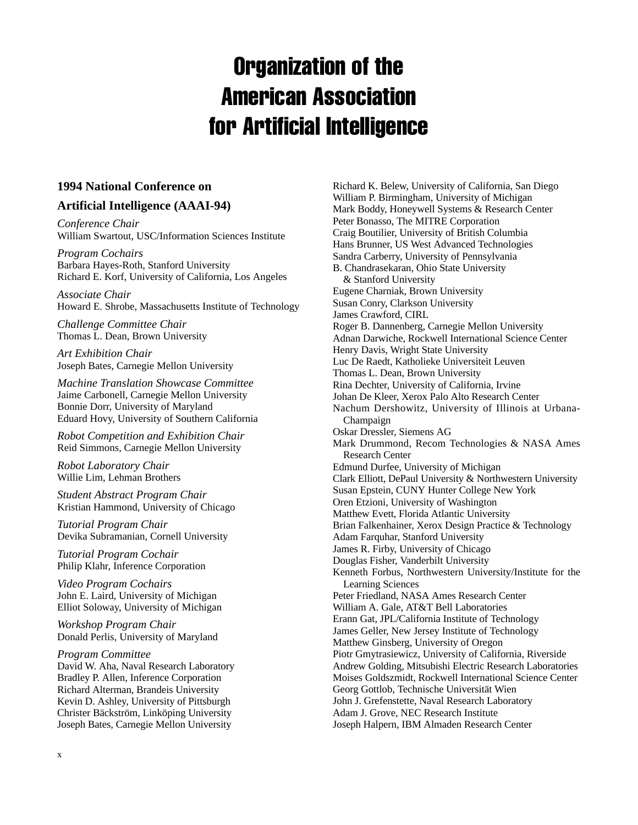# Organization of the American Association for Artificial Intelligence

## **1994 National Conference on**

## **Artificial Intelligence (AAAI-94)**

*Conference Chair* William Swartout, USC/Information Sciences Institute

*Program Cochairs* Barbara Hayes-Roth, Stanford University Richard E. Korf, University of California, Los Angeles

*Associate Chair* Howard E. Shrobe, Massachusetts Institute of Technology

*Challenge Committee Chair* Thomas L. Dean, Brown University

*Art Exhibition Chair* Joseph Bates, Carnegie Mellon University

*Machine Translation Showcase Committee* Jaime Carbonell, Carnegie Mellon University Bonnie Dorr, University of Maryland Eduard Hovy, University of Southern California

*Robot Competition and Exhibition Chair* Reid Simmons, Carnegie Mellon University

*Robot Laboratory Chair* Willie Lim, Lehman Brothers

*Student Abstract Program Chair* Kristian Hammond, University of Chicago

*Tutorial Program Chair* Devika Subramanian, Cornell University

*Tutorial Program Cochair* Philip Klahr, Inference Corporation

*Video Program Cochairs* John E. Laird, University of Michigan Elliot Soloway, University of Michigan

*Workshop Program Chair* Donald Perlis, University of Maryland

*Program Committee* David W. Aha, Naval Research Laboratory Bradley P. Allen, Inference Corporation Richard Alterman, Brandeis University Kevin D. Ashley, University of Pittsburgh Christer Bäckström, Linköping University Joseph Bates, Carnegie Mellon University

Richard K. Belew, University of California, San Diego William P. Birmingham, University of Michigan Mark Boddy, Honeywell Systems & Research Center Peter Bonasso, The MITRE Corporation Craig Boutilier, University of British Columbia Hans Brunner, US West Advanced Technologies Sandra Carberry, University of Pennsylvania B. Chandrasekaran, Ohio State University & Stanford University Eugene Charniak, Brown University Susan Conry, Clarkson University James Crawford, CIRL Roger B. Dannenberg, Carnegie Mellon University Adnan Darwiche, Rockwell International Science Center Henry Davis, Wright State University Luc De Raedt, Katholieke Universiteit Leuven Thomas L. Dean, Brown University Rina Dechter, University of California, Irvine Johan De Kleer, Xerox Palo Alto Research Center Nachum Dershowitz, University of Illinois at Urbana-Champaign Oskar Dressler, Siemens AG Mark Drummond, Recom Technologies & NASA Ames Research Center Edmund Durfee, University of Michigan Clark Elliott, DePaul University & Northwestern University Susan Epstein, CUNY Hunter College New York Oren Etzioni, University of Washington Matthew Evett, Florida Atlantic University Brian Falkenhainer, Xerox Design Practice & Technology Adam Farquhar, Stanford University James R. Firby, University of Chicago Douglas Fisher, Vanderbilt University Kenneth Forbus, Northwestern University/Institute for the Learning Sciences Peter Friedland, NASA Ames Research Center William A. Gale, AT&T Bell Laboratories Erann Gat, JPL/California Institute of Technology James Geller, New Jersey Institute of Technology Matthew Ginsberg, University of Oregon Piotr Gmytrasiewicz, University of California, Riverside Andrew Golding, Mitsubishi Electric Research Laboratories Moises Goldszmidt, Rockwell International Science Center Georg Gottlob, Technische Universität Wien John J. Grefenstette, Naval Research Laboratory Adam J. Grove, NEC Research Institute Joseph Halpern, IBM Almaden Research Center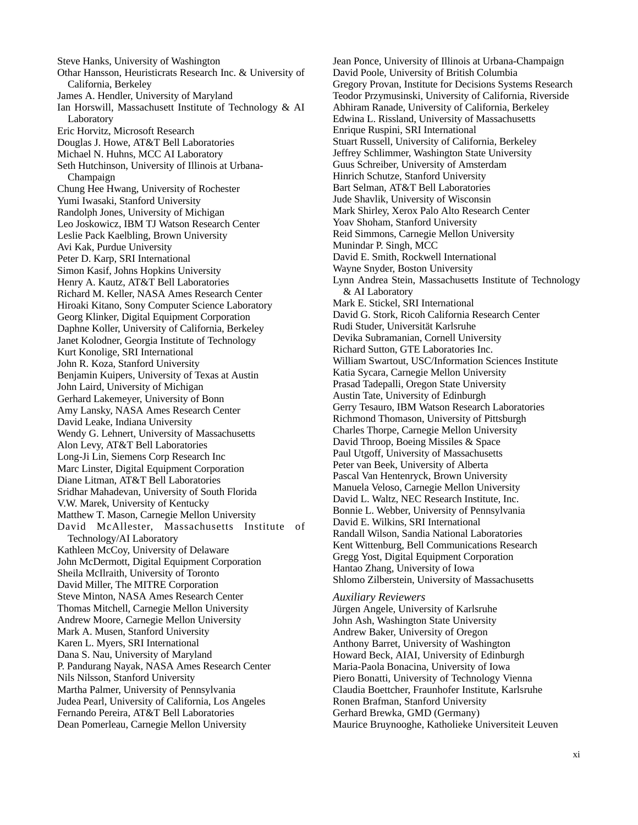Steve Hanks, University of Washington Othar Hansson, Heuristicrats Research Inc. & University of California, Berkeley James A. Hendler, University of Maryland Ian Horswill, Massachusett Institute of Technology & AI Laboratory Eric Horvitz, Microsoft Research Douglas J. Howe, AT&T Bell Laboratories Michael N. Huhns, MCC AI Laboratory Seth Hutchinson, University of Illinois at Urbana-Champaign Chung Hee Hwang, University of Rochester Yumi Iwasaki, Stanford University Randolph Jones, University of Michigan Leo Joskowicz, IBM TJ Watson Research Center Leslie Pack Kaelbling, Brown University Avi Kak, Purdue University Peter D. Karp, SRI International Simon Kasif, Johns Hopkins University Henry A. Kautz, AT&T Bell Laboratories Richard M. Keller, NASA Ames Research Center Hiroaki Kitano, Sony Computer Science Laboratory Georg Klinker, Digital Equipment Corporation Daphne Koller, University of California, Berkeley Janet Kolodner, Georgia Institute of Technology Kurt Konolige, SRI International John R. Koza, Stanford University Benjamin Kuipers, University of Texas at Austin John Laird, University of Michigan Gerhard Lakemeyer, University of Bonn Amy Lansky, NASA Ames Research Center David Leake, Indiana University Wendy G. Lehnert, University of Massachusetts Alon Levy, AT&T Bell Laboratories Long-Ji Lin, Siemens Corp Research Inc Marc Linster, Digital Equipment Corporation Diane Litman, AT&T Bell Laboratories Sridhar Mahadevan, University of South Florida V.W. Marek, University of Kentucky Matthew T. Mason, Carnegie Mellon University David McAllester, Massachusetts Institute of Technology/AI Laboratory Kathleen McCoy, University of Delaware John McDermott, Digital Equipment Corporation Sheila McIlraith, University of Toronto David Miller, The MITRE Corporation Steve Minton, NASA Ames Research Center Thomas Mitchell, Carnegie Mellon University Andrew Moore, Carnegie Mellon University Mark A. Musen, Stanford University Karen L. Myers, SRI International Dana S. Nau, University of Maryland P. Pandurang Nayak, NASA Ames Research Center Nils Nilsson, Stanford University Martha Palmer, University of Pennsylvania Judea Pearl, University of California, Los Angeles Fernando Pereira, AT&T Bell Laboratories Dean Pomerleau, Carnegie Mellon University

Jean Ponce, University of Illinois at Urbana-Champaign David Poole, University of British Columbia Gregory Provan, Institute for Decisions Systems Research Teodor Przymusinski, University of California, Riverside Abhiram Ranade, University of California, Berkeley Edwina L. Rissland, University of Massachusetts Enrique Ruspini, SRI International Stuart Russell, University of California, Berkeley Jeffrey Schlimmer, Washington State University Guus Schreiber, University of Amsterdam Hinrich Schutze, Stanford University Bart Selman, AT&T Bell Laboratories Jude Shavlik, University of Wisconsin Mark Shirley, Xerox Palo Alto Research Center Yoav Shoham, Stanford University Reid Simmons, Carnegie Mellon University Munindar P. Singh, MCC David E. Smith, Rockwell International Wayne Snyder, Boston University Lynn Andrea Stein, Massachusetts Institute of Technology & AI Laboratory Mark E. Stickel, SRI International David G. Stork, Ricoh California Research Center Rudi Studer, Universität Karlsruhe Devika Subramanian, Cornell University Richard Sutton, GTE Laboratories Inc. William Swartout, USC/Information Sciences Institute Katia Sycara, Carnegie Mellon University Prasad Tadepalli, Oregon State University Austin Tate, University of Edinburgh Gerry Tesauro, IBM Watson Research Laboratories Richmond Thomason, University of Pittsburgh Charles Thorpe, Carnegie Mellon University David Throop, Boeing Missiles & Space Paul Utgoff, University of Massachusetts Peter van Beek, University of Alberta Pascal Van Hentenryck, Brown University Manuela Veloso, Carnegie Mellon University David L. Waltz, NEC Research Institute, Inc. Bonnie L. Webber, University of Pennsylvania David E. Wilkins, SRI International Randall Wilson, Sandia National Laboratories Kent Wittenburg, Bell Communications Research Gregg Yost, Digital Equipment Corporation Hantao Zhang, University of Iowa Shlomo Zilberstein, University of Massachusetts

#### *Auxiliary Reviewers*

Jürgen Angele, University of Karlsruhe John Ash, Washington State University Andrew Baker, University of Oregon Anthony Barret, University of Washington Howard Beck, AIAI, University of Edinburgh Maria-Paola Bonacina, University of Iowa Piero Bonatti, University of Technology Vienna Claudia Boettcher, Fraunhofer Institute, Karlsruhe Ronen Brafman, Stanford University Gerhard Brewka, GMD (Germany) Maurice Bruynooghe, Katholieke Universiteit Leuven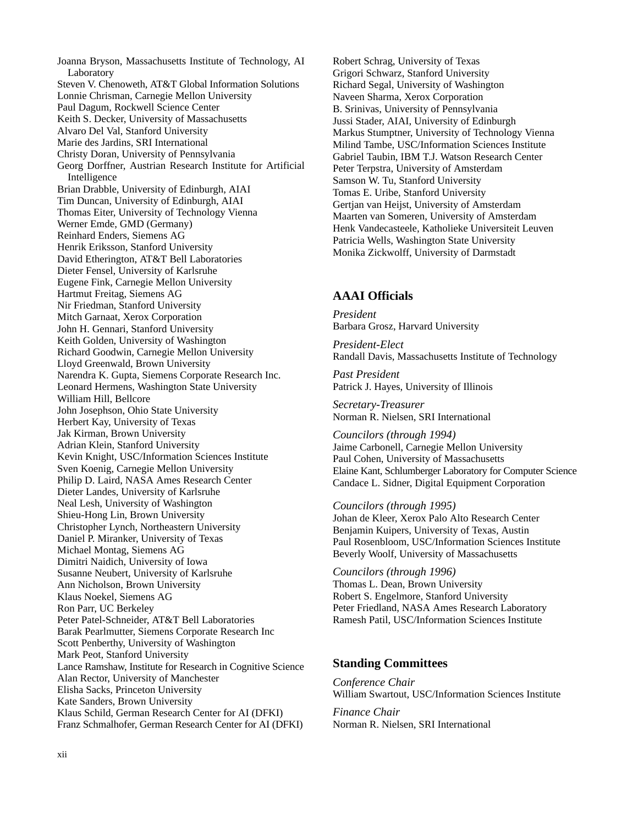Joanna Bryson, Massachusetts Institute of Technology, AI Laboratory Steven V. Chenoweth, AT&T Global Information Solutions Lonnie Chrisman, Carnegie Mellon University Paul Dagum, Rockwell Science Center Keith S. Decker, University of Massachusetts Alvaro Del Val, Stanford University Marie des Jardins, SRI International Christy Doran, University of Pennsylvania Georg Dorffner, Austrian Research Institute for Artificial Intelligence Brian Drabble, University of Edinburgh, AIAI Tim Duncan, University of Edinburgh, AIAI Thomas Eiter, University of Technology Vienna Werner Emde, GMD (Germany) Reinhard Enders, Siemens AG Henrik Eriksson, Stanford University David Etherington, AT&T Bell Laboratories Dieter Fensel, University of Karlsruhe Eugene Fink, Carnegie Mellon University Hartmut Freitag, Siemens AG Nir Friedman, Stanford University Mitch Garnaat, Xerox Corporation John H. Gennari, Stanford University Keith Golden, University of Washington Richard Goodwin, Carnegie Mellon University Lloyd Greenwald, Brown University Narendra K. Gupta, Siemens Corporate Research Inc. Leonard Hermens, Washington State University William Hill, Bellcore John Josephson, Ohio State University Herbert Kay, University of Texas Jak Kirman, Brown University Adrian Klein, Stanford University Kevin Knight, USC/Information Sciences Institute Sven Koenig, Carnegie Mellon University Philip D. Laird, NASA Ames Research Center Dieter Landes, University of Karlsruhe Neal Lesh, University of Washington Shieu-Hong Lin, Brown University Christopher Lynch, Northeastern University Daniel P. Miranker, University of Texas Michael Montag, Siemens AG Dimitri Naidich, University of Iowa Susanne Neubert, University of Karlsruhe Ann Nicholson, Brown University Klaus Noekel, Siemens AG Ron Parr, UC Berkeley Peter Patel-Schneider, AT&T Bell Laboratories Barak Pearlmutter, Siemens Corporate Research Inc Scott Penberthy, University of Washington Mark Peot, Stanford University Lance Ramshaw, Institute for Research in Cognitive Science Alan Rector, University of Manchester Elisha Sacks, Princeton University Kate Sanders, Brown University Klaus Schild, German Research Center for AI (DFKI) Franz Schmalhofer, German Research Center for AI (DFKI)

Robert Schrag, University of Texas Grigori Schwarz, Stanford University Richard Segal, University of Washington Naveen Sharma, Xerox Corporation B. Srinivas, University of Pennsylvania Jussi Stader, AIAI, University of Edinburgh Markus Stumptner, University of Technology Vienna Milind Tambe, USC/Information Sciences Institute Gabriel Taubin, IBM T.J. Watson Research Center Peter Terpstra, University of Amsterdam Samson W. Tu, Stanford University Tomas E. Uribe, Stanford University Gertjan van Heijst, University of Amsterdam Maarten van Someren, University of Amsterdam Henk Vandecasteele, Katholieke Universiteit Leuven Patricia Wells, Washington State University Monika Zickwolff, University of Darmstadt

#### **AAAI Officials**

*President* Barbara Grosz, Harvard University

*President-Elect* Randall Davis, Massachusetts Institute of Technology

*Past President* Patrick J. Hayes, University of Illinois

*Secretary-Treasurer* Norman R. Nielsen, SRI International

*Councilors (through 1994)* Jaime Carbonell, Carnegie Mellon University Paul Cohen, University of Massachusetts Elaine Kant, Schlumberger Laboratory for Computer Science Candace L. Sidner, Digital Equipment Corporation

*Councilors (through 1995)* Johan de Kleer, Xerox Palo Alto Research Center Benjamin Kuipers, University of Texas, Austin Paul Rosenbloom, USC/Information Sciences Institute Beverly Woolf, University of Massachusetts

*Councilors (through 1996)* Thomas L. Dean, Brown University Robert S. Engelmore, Stanford University Peter Friedland, NASA Ames Research Laboratory Ramesh Patil, USC/Information Sciences Institute

#### **Standing Committees**

*Conference Chair* William Swartout, USC/Information Sciences Institute

*Finance Chair* Norman R. Nielsen, SRI International